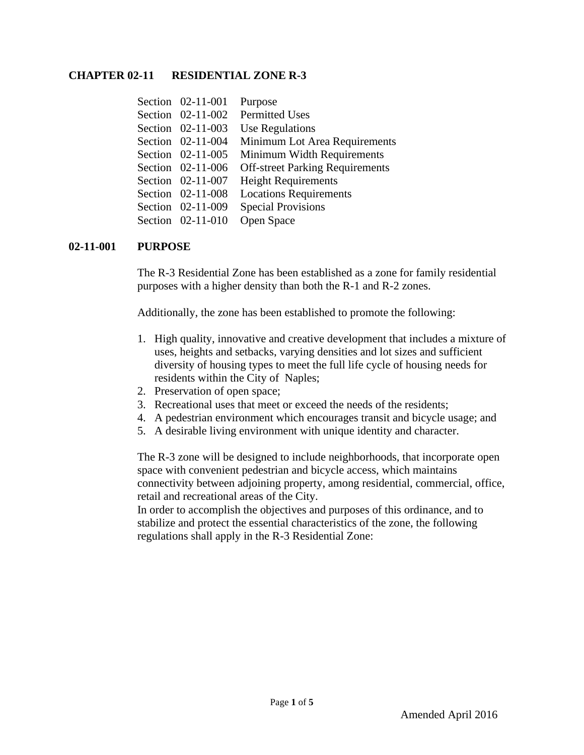#### **CHAPTER 02-11 RESIDENTIAL ZONE R-3**

| Section 02-11-001 | Purpose                                |
|-------------------|----------------------------------------|
| Section 02-11-002 | Permitted Uses                         |
| Section 02-11-003 | Use Regulations                        |
| Section 02-11-004 | Minimum Lot Area Requirements          |
| Section 02-11-005 | Minimum Width Requirements             |
| Section 02-11-006 | <b>Off-street Parking Requirements</b> |
| Section 02-11-007 | <b>Height Requirements</b>             |
| Section 02-11-008 | <b>Locations Requirements</b>          |
| Section 02-11-009 | <b>Special Provisions</b>              |
| Section 02-11-010 | Open Space                             |

#### **02-11-001 PURPOSE**

The R-3 Residential Zone has been established as a zone for family residential purposes with a higher density than both the R-1 and R-2 zones.

Additionally, the zone has been established to promote the following:

- 1. High quality, innovative and creative development that includes a mixture of uses, heights and setbacks, varying densities and lot sizes and sufficient diversity of housing types to meet the full life cycle of housing needs for residents within the City of Naples;
- 2. Preservation of open space;
- 3. Recreational uses that meet or exceed the needs of the residents;
- 4. A pedestrian environment which encourages transit and bicycle usage; and
- 5. A desirable living environment with unique identity and character.

The R-3 zone will be designed to include neighborhoods, that incorporate open space with convenient pedestrian and bicycle access, which maintains connectivity between adjoining property, among residential, commercial, office, retail and recreational areas of the City.

In order to accomplish the objectives and purposes of this ordinance, and to stabilize and protect the essential characteristics of the zone, the following regulations shall apply in the R-3 Residential Zone: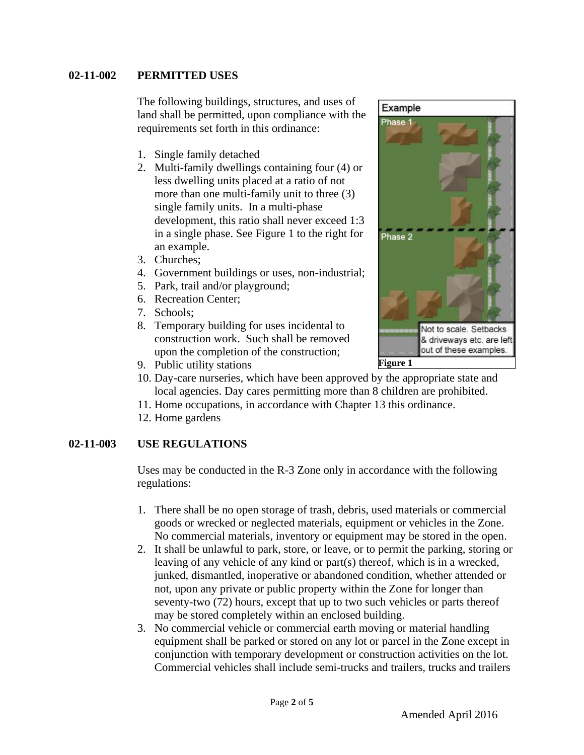## **02-11-002 PERMITTED USES**

The following buildings, structures, and uses of land shall be permitted, upon compliance with the requirements set forth in this ordinance:

- 1. Single family detached
- 2. Multi-family dwellings containing four (4) or less dwelling units placed at a ratio of not more than one multi-family unit to three (3) single family units. In a multi-phase development, this ratio shall never exceed 1:3 in a single phase. See Figure 1 to the right for an example.
- 3. Churches;
- 4. Government buildings or uses, non-industrial;
- 5. Park, trail and/or playground;
- 6. Recreation Center;
- 7. Schools;
- 8. Temporary building for uses incidental to construction work. Such shall be removed upon the completion of the construction;



- 9. Public utility stations
- 10. Day-care nurseries, which have been approved by the appropriate state and local agencies. Day cares permitting more than 8 children are prohibited.
- 11. Home occupations, in accordance with Chapter 13 this ordinance.
- 12. Home gardens

## **02-11-003 USE REGULATIONS**

Uses may be conducted in the R-3 Zone only in accordance with the following regulations:

- 1. There shall be no open storage of trash, debris, used materials or commercial goods or wrecked or neglected materials, equipment or vehicles in the Zone. No commercial materials, inventory or equipment may be stored in the open.
- 2. It shall be unlawful to park, store, or leave, or to permit the parking, storing or leaving of any vehicle of any kind or part(s) thereof, which is in a wrecked, junked, dismantled, inoperative or abandoned condition, whether attended or not, upon any private or public property within the Zone for longer than seventy-two (72) hours, except that up to two such vehicles or parts thereof may be stored completely within an enclosed building.
- 3. No commercial vehicle or commercial earth moving or material handling equipment shall be parked or stored on any lot or parcel in the Zone except in conjunction with temporary development or construction activities on the lot. Commercial vehicles shall include semi-trucks and trailers, trucks and trailers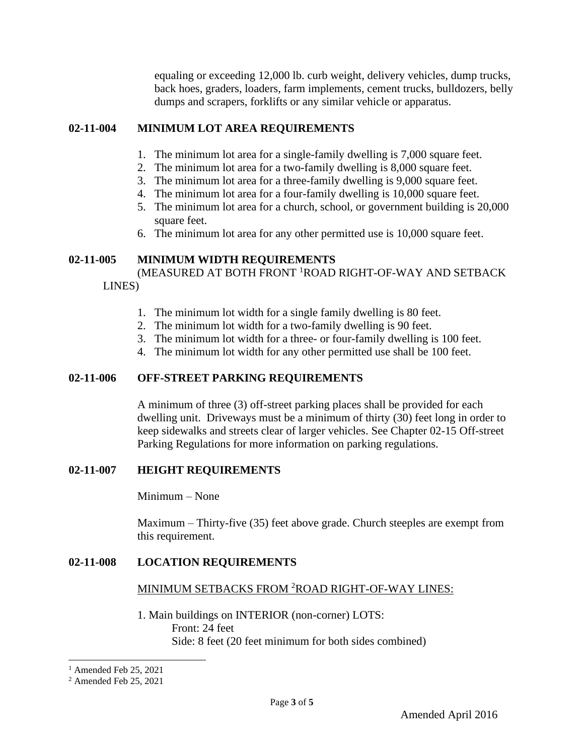equaling or exceeding 12,000 lb. curb weight, delivery vehicles, dump trucks, back hoes, graders, loaders, farm implements, cement trucks, bulldozers, belly dumps and scrapers, forklifts or any similar vehicle or apparatus.

## **02-11-004 MINIMUM LOT AREA REQUIREMENTS**

- 1. The minimum lot area for a single-family dwelling is 7,000 square feet.
- 2. The minimum lot area for a two-family dwelling is 8,000 square feet.
- 3. The minimum lot area for a three-family dwelling is 9,000 square feet.
- 4. The minimum lot area for a four-family dwelling is 10,000 square feet.
- 5. The minimum lot area for a church, school, or government building is 20,000 square feet.
- 6. The minimum lot area for any other permitted use is 10,000 square feet.

## **02-11-005 MINIMUM WIDTH REQUIREMENTS**

(MEASURED AT BOTH FRONT <sup>1</sup>ROAD RIGHT-OF-WAY AND SETBACK LINES)

- 1. The minimum lot width for a single family dwelling is 80 feet.
- 2. The minimum lot width for a two-family dwelling is 90 feet.
- 3. The minimum lot width for a three- or four-family dwelling is 100 feet.
- 4. The minimum lot width for any other permitted use shall be 100 feet.

## **02-11-006 OFF-STREET PARKING REQUIREMENTS**

A minimum of three (3) off-street parking places shall be provided for each dwelling unit. Driveways must be a minimum of thirty (30) feet long in order to keep sidewalks and streets clear of larger vehicles. See Chapter 02-15 Off-street Parking Regulations for more information on parking regulations.

## **02-11-007 HEIGHT REQUIREMENTS**

Minimum – None

Maximum – Thirty-five (35) feet above grade. Church steeples are exempt from this requirement.

## **02-11-008 LOCATION REQUIREMENTS**

## MINIMUM SETBACKS FROM <sup>2</sup>ROAD RIGHT-OF-WAY LINES:

1. Main buildings on INTERIOR (non-corner) LOTS: Front: 24 feet Side: 8 feet (20 feet minimum for both sides combined)

 $<sup>1</sup>$  Amended Feb 25, 2021</sup>

<sup>2</sup> Amended Feb 25, 2021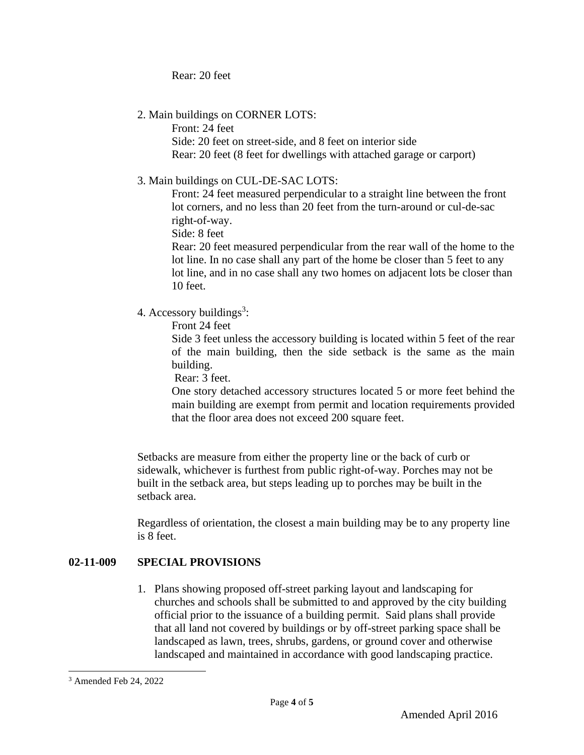Rear: 20 feet

2. Main buildings on CORNER LOTS:

Front: 24 feet

Side: 20 feet on street-side, and 8 feet on interior side Rear: 20 feet (8 feet for dwellings with attached garage or carport)

3. Main buildings on CUL-DE-SAC LOTS:

Front: 24 feet measured perpendicular to a straight line between the front lot corners, and no less than 20 feet from the turn-around or cul-de-sac right-of-way.

Side: 8 feet

Rear: 20 feet measured perpendicular from the rear wall of the home to the lot line. In no case shall any part of the home be closer than 5 feet to any lot line, and in no case shall any two homes on adjacent lots be closer than 10 feet.

4. Accessory buildings<sup>3</sup>:

Front 24 feet

Side 3 feet unless the accessory building is located within 5 feet of the rear of the main building, then the side setback is the same as the main building.

Rear: 3 feet.

One story detached accessory structures located 5 or more feet behind the main building are exempt from permit and location requirements provided that the floor area does not exceed 200 square feet.

Setbacks are measure from either the property line or the back of curb or sidewalk, whichever is furthest from public right-of-way. Porches may not be built in the setback area, but steps leading up to porches may be built in the setback area.

Regardless of orientation, the closest a main building may be to any property line is 8 feet.

# **02-11-009 SPECIAL PROVISIONS**

1. Plans showing proposed off-street parking layout and landscaping for churches and schools shall be submitted to and approved by the city building official prior to the issuance of a building permit. Said plans shall provide that all land not covered by buildings or by off-street parking space shall be landscaped as lawn, trees, shrubs, gardens, or ground cover and otherwise landscaped and maintained in accordance with good landscaping practice.

<sup>3</sup> Amended Feb 24, 2022